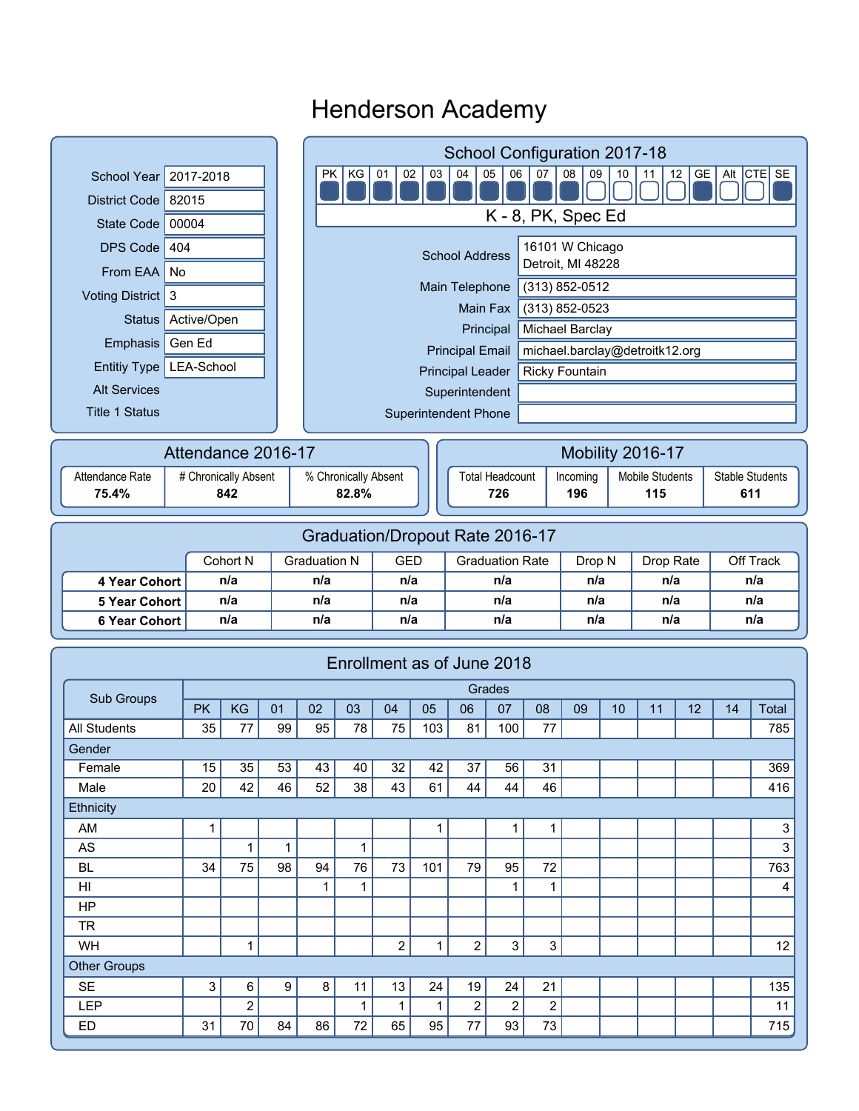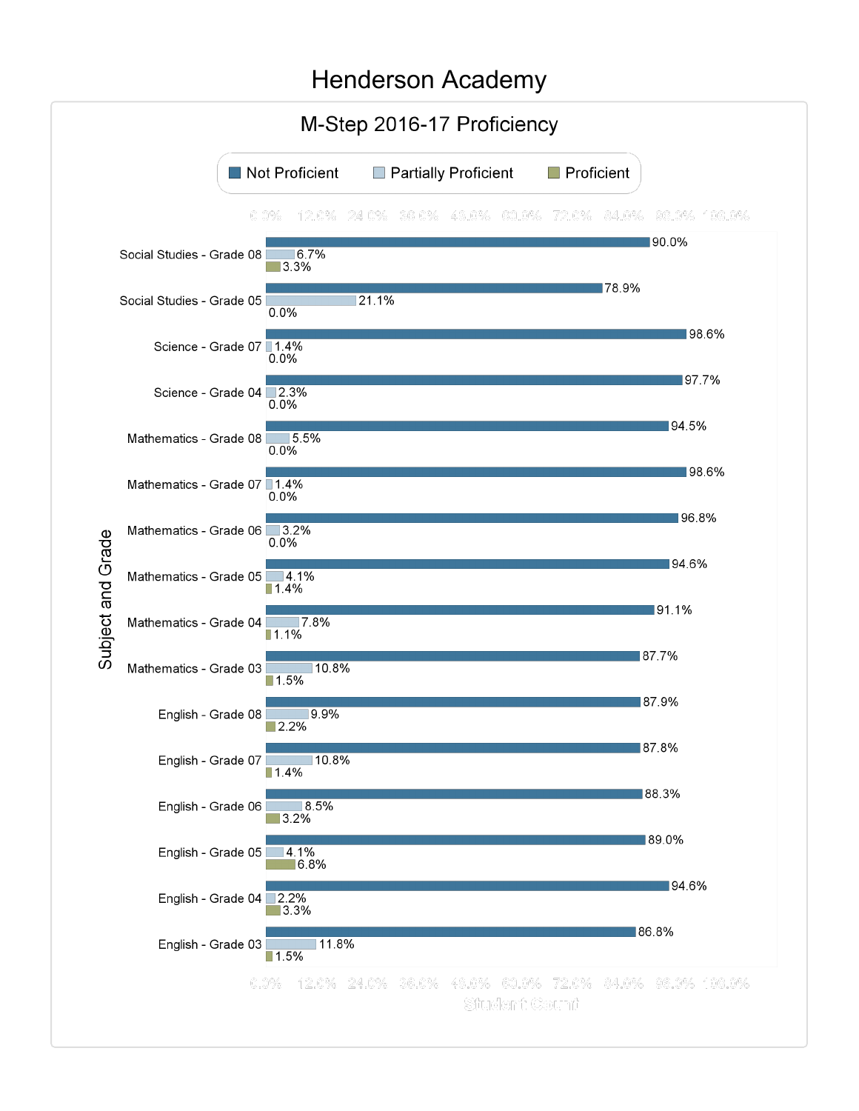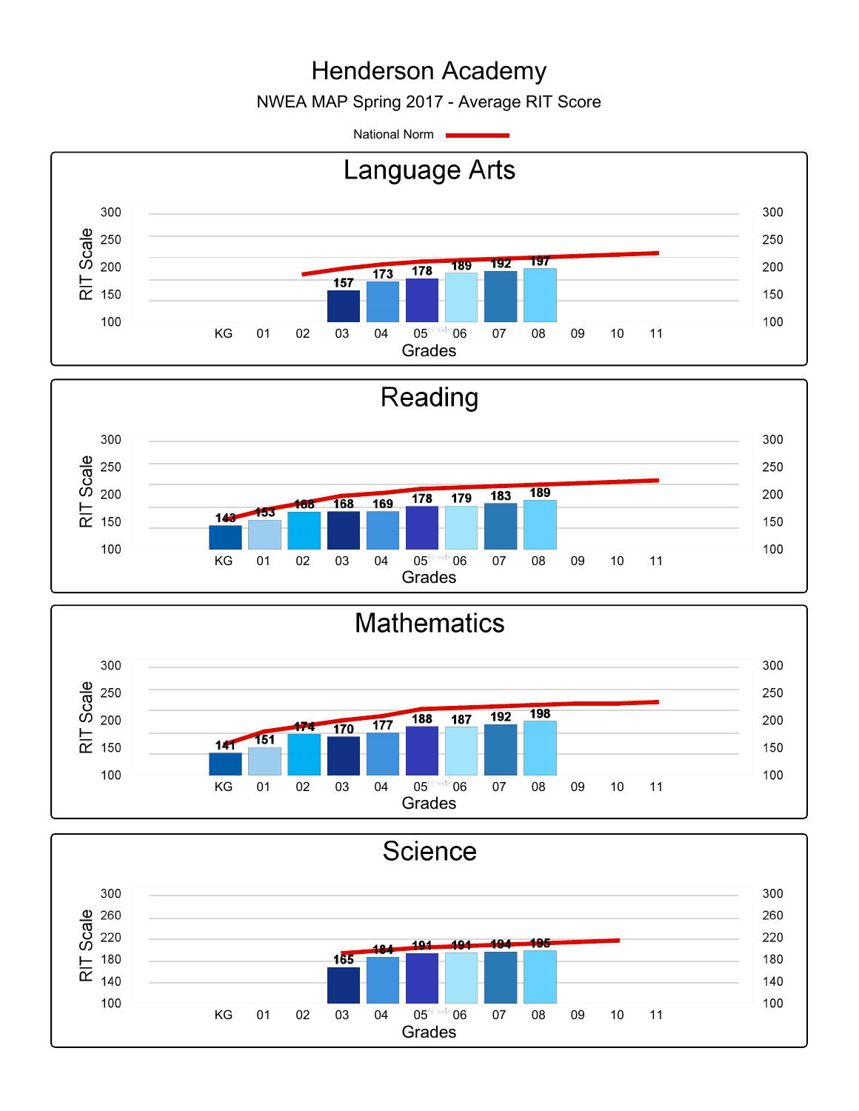NWEA MAP Spring 2017 - Average RIT Score

National Norm